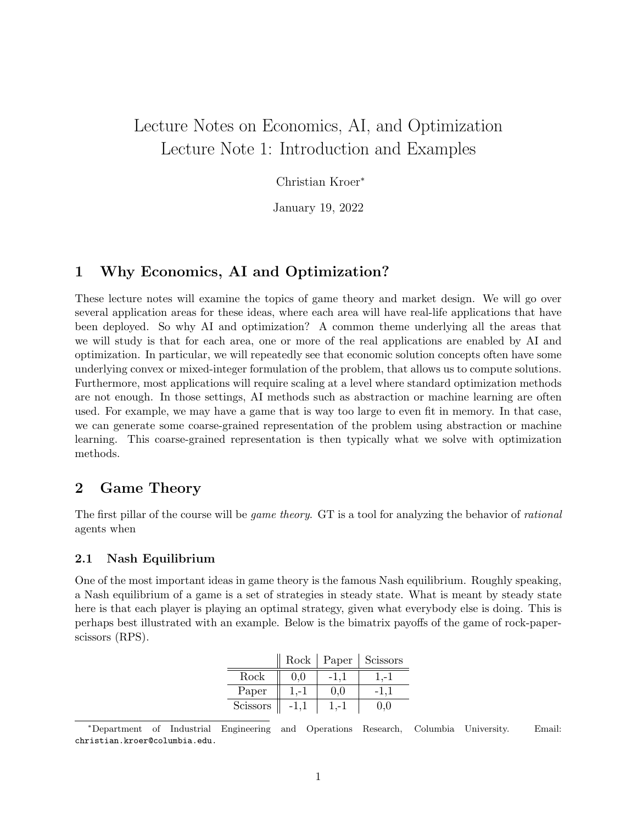# Lecture Notes on Economics, AI, and Optimization Lecture Note 1: Introduction and Examples

Christian Kroer<sup>∗</sup>

January 19, 2022

## 1 Why Economics, AI and Optimization?

These lecture notes will examine the topics of game theory and market design. We will go over several application areas for these ideas, where each area will have real-life applications that have been deployed. So why AI and optimization? A common theme underlying all the areas that we will study is that for each area, one or more of the real applications are enabled by AI and optimization. In particular, we will repeatedly see that economic solution concepts often have some underlying convex or mixed-integer formulation of the problem, that allows us to compute solutions. Furthermore, most applications will require scaling at a level where standard optimization methods are not enough. In those settings, AI methods such as abstraction or machine learning are often used. For example, we may have a game that is way too large to even fit in memory. In that case, we can generate some coarse-grained representation of the problem using abstraction or machine learning. This coarse-grained representation is then typically what we solve with optimization methods.

## 2 Game Theory

The first pillar of the course will be *game theory*. GT is a tool for analyzing the behavior of *rational* agents when

### 2.1 Nash Equilibrium

One of the most important ideas in game theory is the famous Nash equilibrium. Roughly speaking, a Nash equilibrium of a game is a set of strategies in steady state. What is meant by steady state here is that each player is playing an optimal strategy, given what everybody else is doing. This is perhaps best illustrated with an example. Below is the bimatrix payoffs of the game of rock-paperscissors (RPS).

|          | Rock |      | Paper   Scissors |
|----------|------|------|------------------|
| Rock     | 0,0  | -1.1 | 1,-1             |
| Paper    | 1.-1 | 0.0  |                  |
| Scissors |      |      |                  |

<sup>∗</sup>Department of Industrial Engineering and Operations Research, Columbia University. Email: christian.kroer@columbia.edu.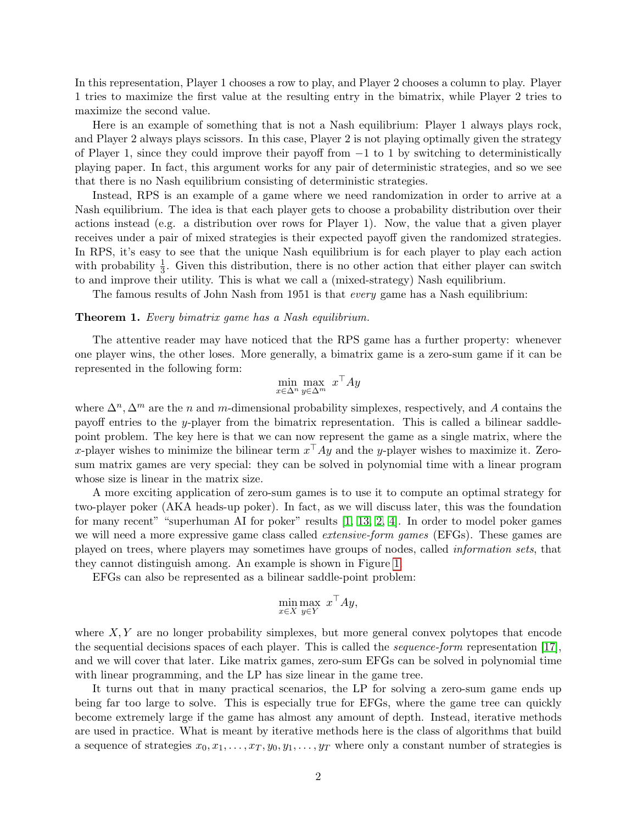In this representation, Player 1 chooses a row to play, and Player 2 chooses a column to play. Player 1 tries to maximize the first value at the resulting entry in the bimatrix, while Player 2 tries to maximize the second value.

Here is an example of something that is not a Nash equilibrium: Player 1 always plays rock, and Player 2 always plays scissors. In this case, Player 2 is not playing optimally given the strategy of Player 1, since they could improve their payoff from −1 to 1 by switching to deterministically playing paper. In fact, this argument works for any pair of deterministic strategies, and so we see that there is no Nash equilibrium consisting of deterministic strategies.

Instead, RPS is an example of a game where we need randomization in order to arrive at a Nash equilibrium. The idea is that each player gets to choose a probability distribution over their actions instead (e.g. a distribution over rows for Player 1). Now, the value that a given player receives under a pair of mixed strategies is their expected payoff given the randomized strategies. In RPS, it's easy to see that the unique Nash equilibrium is for each player to play each action with probability  $\frac{1}{3}$ . Given this distribution, there is no other action that either player can switch to and improve their utility. This is what we call a (mixed-strategy) Nash equilibrium.

The famous results of John Nash from 1951 is that every game has a Nash equilibrium:

#### Theorem 1. Every bimatrix game has a Nash equilibrium.

The attentive reader may have noticed that the RPS game has a further property: whenever one player wins, the other loses. More generally, a bimatrix game is a zero-sum game if it can be represented in the following form:

$$
\min_{x \in \Delta^n} \max_{y \in \Delta^m} x^{\top} A y
$$

where  $\Delta^n$ ,  $\Delta^m$  are the *n* and *m*-dimensional probability simplexes, respectively, and A contains the payoff entries to the y-player from the bimatrix representation. This is called a bilinear saddlepoint problem. The key here is that we can now represent the game as a single matrix, where the x-player wishes to minimize the bilinear term  $x^{\top}Ay$  and the y-player wishes to maximize it. Zerosum matrix games are very special: they can be solved in polynomial time with a linear program whose size is linear in the matrix size.

A more exciting application of zero-sum games is to use it to compute an optimal strategy for two-player poker (AKA heads-up poker). In fact, as we will discuss later, this was the foundation for many recent" "superhuman AI for poker" results [\[1,](#page-6-0) [13,](#page-6-1) [2,](#page-6-2) [4\]](#page-6-3). In order to model poker games we will need a more expressive game class called *extensive-form games* (EFGs). These games are played on trees, where players may sometimes have groups of nodes, called information sets, that they cannot distinguish among. An example is shown in Figure [1.](#page-2-0)

EFGs can also be represented as a bilinear saddle-point problem:

$$
\min_{x \in X} \max_{y \in Y} x^{\top} A y,
$$

where  $X, Y$  are no longer probability simplexes, but more general convex polytopes that encode the sequential decisions spaces of each player. This is called the sequence-form representation [\[17\]](#page-7-0), and we will cover that later. Like matrix games, zero-sum EFGs can be solved in polynomial time with linear programming, and the LP has size linear in the game tree.

It turns out that in many practical scenarios, the LP for solving a zero-sum game ends up being far too large to solve. This is especially true for EFGs, where the game tree can quickly become extremely large if the game has almost any amount of depth. Instead, iterative methods are used in practice. What is meant by iterative methods here is the class of algorithms that build a sequence of strategies  $x_0, x_1, \ldots, x_T, y_0, y_1, \ldots, y_T$  where only a constant number of strategies is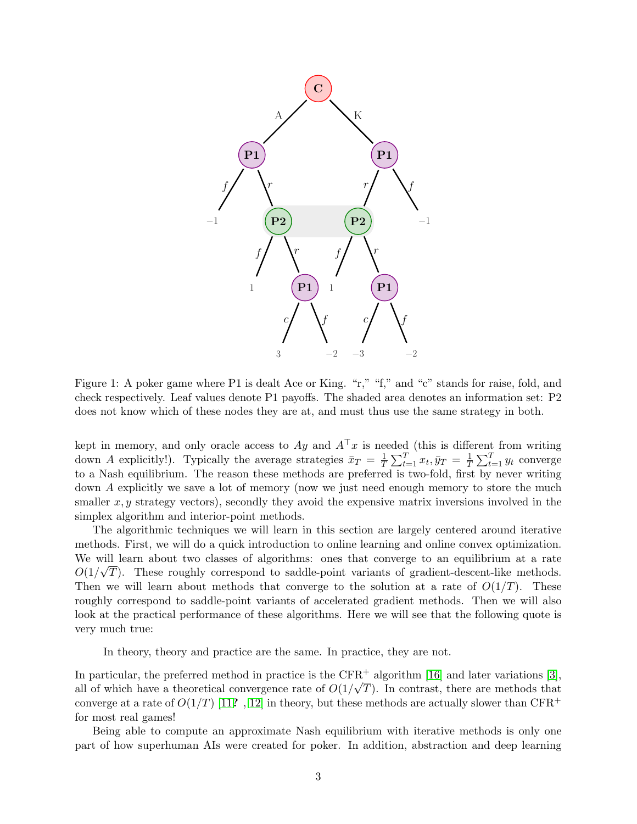

<span id="page-2-0"></span>Figure 1: A poker game where P1 is dealt Ace or King. "r," "f," and "c" stands for raise, fold, and check respectively. Leaf values denote P1 payoffs. The shaded area denotes an information set: P2 does not know which of these nodes they are at, and must thus use the same strategy in both.

kept in memory, and only oracle access to  $Ay$  and  $A^{\top}x$  is needed (this is different from writing down A explicitly!). Typically the average strategies  $\bar{x}_T = \frac{1}{7}$  $\frac{1}{T}\sum_{t=1}^T x_t, \bar{y}_T = \frac{1}{T}$  $\frac{1}{T} \sum_{t=1}^{T} y_t$  converge to a Nash equilibrium. The reason these methods are preferred is two-fold, first by never writing down A explicitly we save a lot of memory (now we just need enough memory to store the much smaller  $x, y$  strategy vectors), secondly they avoid the expensive matrix inversions involved in the simplex algorithm and interior-point methods.

The algorithmic techniques we will learn in this section are largely centered around iterative methods. First, we will do a quick introduction to online learning and online convex optimization. We will learn about two classes of algorithms: ones that converge to an equilibrium at a rate  $O(1/\sqrt{T})$ . These roughly correspond to saddle-point variants of gradient-descent-like methods. Then we will learn about methods that converge to the solution at a rate of  $O(1/T)$ . These roughly correspond to saddle-point variants of accelerated gradient methods. Then we will also look at the practical performance of these algorithms. Here we will see that the following quote is very much true:

In theory, theory and practice are the same. In practice, they are not.

In particular, the preferred method in practice is the CFR<sup>+</sup> algorithm [\[16\]](#page-7-1) and later variations [\[3\]](#page-6-4), all of which have a theoretical convergence rate of  $O(1/\sqrt{T})$ . In contrast, there are methods that converge at a rate of  $O(1/T)$  [\[11](#page-6-5)?, [12\]](#page-6-6) in theory, but these methods are actually slower than CFR<sup>+</sup> for most real games!

Being able to compute an approximate Nash equilibrium with iterative methods is only one part of how superhuman AIs were created for poker. In addition, abstraction and deep learning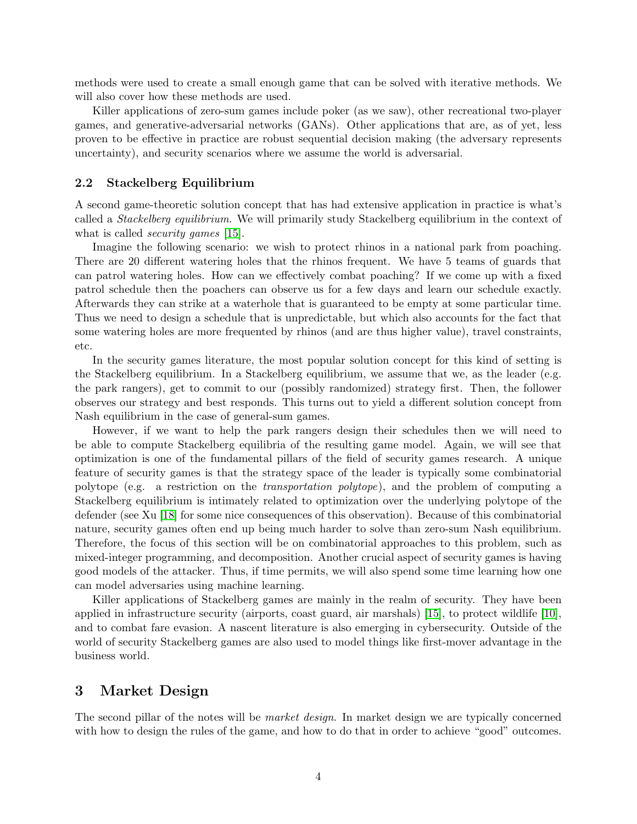methods were used to create a small enough game that can be solved with iterative methods. We will also cover how these methods are used.

Killer applications of zero-sum games include poker (as we saw), other recreational two-player games, and generative-adversarial networks (GANs). Other applications that are, as of yet, less proven to be effective in practice are robust sequential decision making (the adversary represents uncertainty), and security scenarios where we assume the world is adversarial.

#### 2.2 Stackelberg Equilibrium

A second game-theoretic solution concept that has had extensive application in practice is what's called a Stackelberg equilibrium. We will primarily study Stackelberg equilibrium in the context of what is called *security games* [\[15\]](#page-7-2).

Imagine the following scenario: we wish to protect rhinos in a national park from poaching. There are 20 different watering holes that the rhinos frequent. We have 5 teams of guards that can patrol watering holes. How can we effectively combat poaching? If we come up with a fixed patrol schedule then the poachers can observe us for a few days and learn our schedule exactly. Afterwards they can strike at a waterhole that is guaranteed to be empty at some particular time. Thus we need to design a schedule that is unpredictable, but which also accounts for the fact that some watering holes are more frequented by rhinos (and are thus higher value), travel constraints, etc.

In the security games literature, the most popular solution concept for this kind of setting is the Stackelberg equilibrium. In a Stackelberg equilibrium, we assume that we, as the leader (e.g. the park rangers), get to commit to our (possibly randomized) strategy first. Then, the follower observes our strategy and best responds. This turns out to yield a different solution concept from Nash equilibrium in the case of general-sum games.

However, if we want to help the park rangers design their schedules then we will need to be able to compute Stackelberg equilibria of the resulting game model. Again, we will see that optimization is one of the fundamental pillars of the field of security games research. A unique feature of security games is that the strategy space of the leader is typically some combinatorial polytope (e.g. a restriction on the transportation polytope), and the problem of computing a Stackelberg equilibrium is intimately related to optimization over the underlying polytope of the defender (see Xu [\[18\]](#page-7-3) for some nice consequences of this observation). Because of this combinatorial nature, security games often end up being much harder to solve than zero-sum Nash equilibrium. Therefore, the focus of this section will be on combinatorial approaches to this problem, such as mixed-integer programming, and decomposition. Another crucial aspect of security games is having good models of the attacker. Thus, if time permits, we will also spend some time learning how one can model adversaries using machine learning.

Killer applications of Stackelberg games are mainly in the realm of security. They have been applied in infrastructure security (airports, coast guard, air marshals) [\[15\]](#page-7-2), to protect wildlife [\[10\]](#page-6-7), and to combat fare evasion. A nascent literature is also emerging in cybersecurity. Outside of the world of security Stackelberg games are also used to model things like first-mover advantage in the business world.

## 3 Market Design

The second pillar of the notes will be *market design*. In market design we are typically concerned with how to design the rules of the game, and how to do that in order to achieve "good" outcomes.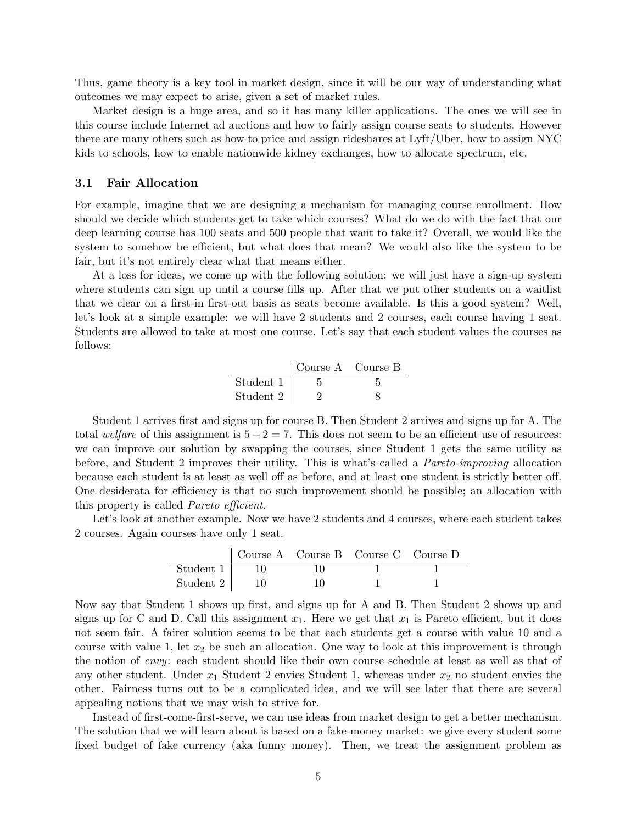Thus, game theory is a key tool in market design, since it will be our way of understanding what outcomes we may expect to arise, given a set of market rules.

Market design is a huge area, and so it has many killer applications. The ones we will see in this course include Internet ad auctions and how to fairly assign course seats to students. However there are many others such as how to price and assign rideshares at Lyft/Uber, how to assign NYC kids to schools, how to enable nationwide kidney exchanges, how to allocate spectrum, etc.

#### 3.1 Fair Allocation

For example, imagine that we are designing a mechanism for managing course enrollment. How should we decide which students get to take which courses? What do we do with the fact that our deep learning course has 100 seats and 500 people that want to take it? Overall, we would like the system to somehow be efficient, but what does that mean? We would also like the system to be fair, but it's not entirely clear what that means either.

At a loss for ideas, we come up with the following solution: we will just have a sign-up system where students can sign up until a course fills up. After that we put other students on a waitlist that we clear on a first-in first-out basis as seats become available. Is this a good system? Well, let's look at a simple example: we will have 2 students and 2 courses, each course having 1 seat. Students are allowed to take at most one course. Let's say that each student values the courses as follows:

|           | Course A Course B |  |
|-----------|-------------------|--|
| Student 1 |                   |  |
| Student 2 |                   |  |

Student 1 arrives first and signs up for course B. Then Student 2 arrives and signs up for A. The total welfare of this assignment is  $5 + 2 = 7$ . This does not seem to be an efficient use of resources: we can improve our solution by swapping the courses, since Student 1 gets the same utility as before, and Student 2 improves their utility. This is what's called a Pareto-improving allocation because each student is at least as well off as before, and at least one student is strictly better off. One desiderata for efficiency is that no such improvement should be possible; an allocation with this property is called Pareto efficient.

Let's look at another example. Now we have 2 students and 4 courses, where each student takes 2 courses. Again courses have only 1 seat.

|                  |    | Course A Course B Course C Course D |  |
|------------------|----|-------------------------------------|--|
| Student $1 \mid$ |    |                                     |  |
| Student 2        | 10 |                                     |  |

Now say that Student 1 shows up first, and signs up for A and B. Then Student 2 shows up and signs up for C and D. Call this assignment  $x_1$ . Here we get that  $x_1$  is Pareto efficient, but it does not seem fair. A fairer solution seems to be that each students get a course with value 10 and a course with value 1, let  $x_2$  be such an allocation. One way to look at this improvement is through the notion of envy: each student should like their own course schedule at least as well as that of any other student. Under  $x_1$  Student 2 envies Student 1, whereas under  $x_2$  no student envies the other. Fairness turns out to be a complicated idea, and we will see later that there are several appealing notions that we may wish to strive for.

Instead of first-come-first-serve, we can use ideas from market design to get a better mechanism. The solution that we will learn about is based on a fake-money market: we give every student some fixed budget of fake currency (aka funny money). Then, we treat the assignment problem as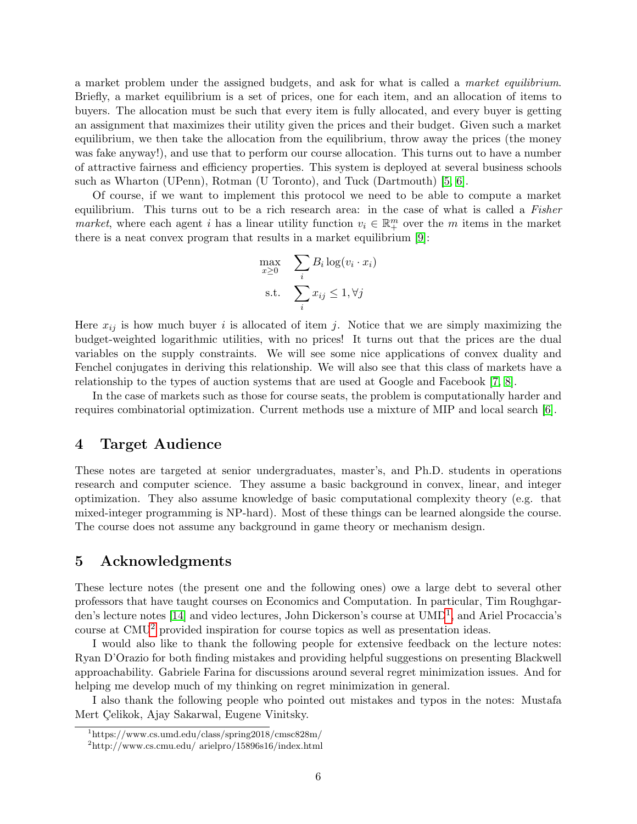a market problem under the assigned budgets, and ask for what is called a market equilibrium. Briefly, a market equilibrium is a set of prices, one for each item, and an allocation of items to buyers. The allocation must be such that every item is fully allocated, and every buyer is getting an assignment that maximizes their utility given the prices and their budget. Given such a market equilibrium, we then take the allocation from the equilibrium, throw away the prices (the money was fake anyway!), and use that to perform our course allocation. This turns out to have a number of attractive fairness and efficiency properties. This system is deployed at several business schools such as Wharton (UPenn), Rotman (U Toronto), and Tuck (Dartmouth) [\[5,](#page-6-8) [6\]](#page-6-9).

Of course, if we want to implement this protocol we need to be able to compute a market equilibrium. This turns out to be a rich research area: in the case of what is called a Fisher market, where each agent i has a linear utility function  $v_i \in \mathbb{R}^m_+$  over the m items in the market there is a neat convex program that results in a market equilibrium [\[9\]](#page-6-10):

$$
\max_{x \ge 0} \sum_{i} B_i \log(v_i \cdot x_i)
$$
  
s.t. 
$$
\sum_{i} x_{ij} \le 1, \forall j
$$

Here  $x_{ij}$  is how much buyer i is allocated of item j. Notice that we are simply maximizing the budget-weighted logarithmic utilities, with no prices! It turns out that the prices are the dual variables on the supply constraints. We will see some nice applications of convex duality and Fenchel conjugates in deriving this relationship. We will also see that this class of markets have a relationship to the types of auction systems that are used at Google and Facebook [\[7,](#page-6-11) [8\]](#page-6-12).

In the case of markets such as those for course seats, the problem is computationally harder and requires combinatorial optimization. Current methods use a mixture of MIP and local search [\[6\]](#page-6-9).

## 4 Target Audience

These notes are targeted at senior undergraduates, master's, and Ph.D. students in operations research and computer science. They assume a basic background in convex, linear, and integer optimization. They also assume knowledge of basic computational complexity theory (e.g. that mixed-integer programming is NP-hard). Most of these things can be learned alongside the course. The course does not assume any background in game theory or mechanism design.

## 5 Acknowledgments

These lecture notes (the present one and the following ones) owe a large debt to several other professors that have taught courses on Economics and Computation. In particular, Tim Roughgar-den's lecture notes [\[14\]](#page-6-13) and video lectures, John Dickerson's course at  $\text{UMD}^1$  $\text{UMD}^1$ , and Ariel Procaccia's course at CMU[2](#page-5-1) provided inspiration for course topics as well as presentation ideas.

I would also like to thank the following people for extensive feedback on the lecture notes: Ryan D'Orazio for both finding mistakes and providing helpful suggestions on presenting Blackwell approachability. Gabriele Farina for discussions around several regret minimization issues. And for helping me develop much of my thinking on regret minimization in general.

I also thank the following people who pointed out mistakes and typos in the notes: Mustafa Mert Celikok, Ajay Sakarwal, Eugene Vinitsky.

<span id="page-5-0"></span><sup>1</sup>https://www.cs.umd.edu/class/spring2018/cmsc828m/

<span id="page-5-1"></span><sup>2</sup>http://www.cs.cmu.edu/ arielpro/15896s16/index.html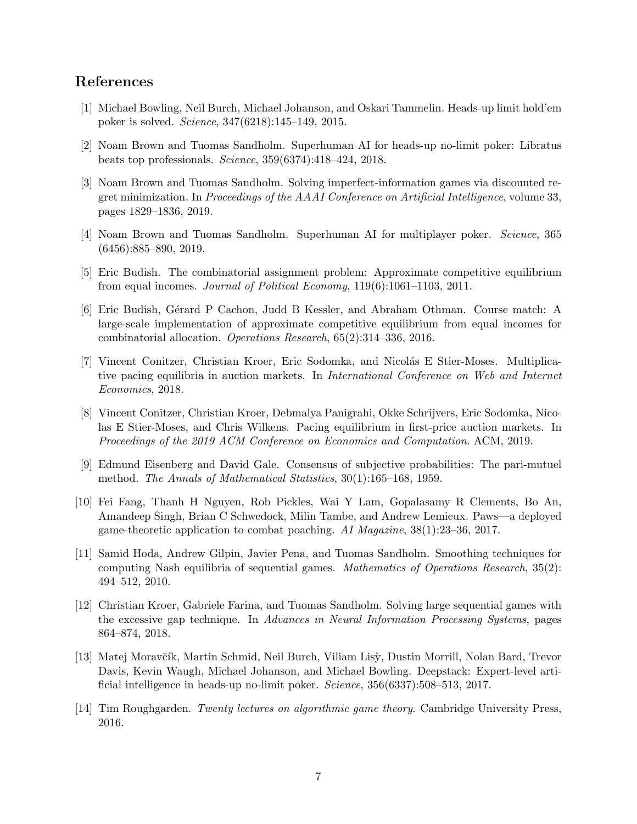# References

- <span id="page-6-0"></span>[1] Michael Bowling, Neil Burch, Michael Johanson, and Oskari Tammelin. Heads-up limit hold'em poker is solved. Science, 347(6218):145–149, 2015.
- <span id="page-6-2"></span>[2] Noam Brown and Tuomas Sandholm. Superhuman AI for heads-up no-limit poker: Libratus beats top professionals. Science, 359(6374):418–424, 2018.
- <span id="page-6-4"></span>[3] Noam Brown and Tuomas Sandholm. Solving imperfect-information games via discounted regret minimization. In Proceedings of the AAAI Conference on Artificial Intelligence, volume 33, pages 1829–1836, 2019.
- <span id="page-6-3"></span>[4] Noam Brown and Tuomas Sandholm. Superhuman AI for multiplayer poker. Science, 365 (6456):885–890, 2019.
- <span id="page-6-8"></span>[5] Eric Budish. The combinatorial assignment problem: Approximate competitive equilibrium from equal incomes. Journal of Political Economy, 119(6):1061–1103, 2011.
- <span id="page-6-9"></span>[6] Eric Budish, G´erard P Cachon, Judd B Kessler, and Abraham Othman. Course match: A large-scale implementation of approximate competitive equilibrium from equal incomes for combinatorial allocation. Operations Research, 65(2):314–336, 2016.
- <span id="page-6-11"></span>[7] Vincent Conitzer, Christian Kroer, Eric Sodomka, and Nicolás E Stier-Moses. Multiplicative pacing equilibria in auction markets. In International Conference on Web and Internet Economics, 2018.
- <span id="page-6-12"></span>[8] Vincent Conitzer, Christian Kroer, Debmalya Panigrahi, Okke Schrijvers, Eric Sodomka, Nicolas E Stier-Moses, and Chris Wilkens. Pacing equilibrium in first-price auction markets. In Proceedings of the 2019 ACM Conference on Economics and Computation. ACM, 2019.
- <span id="page-6-10"></span>[9] Edmund Eisenberg and David Gale. Consensus of subjective probabilities: The pari-mutuel method. The Annals of Mathematical Statistics, 30(1):165–168, 1959.
- <span id="page-6-7"></span>[10] Fei Fang, Thanh H Nguyen, Rob Pickles, Wai Y Lam, Gopalasamy R Clements, Bo An, Amandeep Singh, Brian C Schwedock, Milin Tambe, and Andrew Lemieux. Paws—a deployed game-theoretic application to combat poaching. AI Magazine, 38(1):23–36, 2017.
- <span id="page-6-5"></span>[11] Samid Hoda, Andrew Gilpin, Javier Pena, and Tuomas Sandholm. Smoothing techniques for computing Nash equilibria of sequential games. Mathematics of Operations Research, 35(2): 494–512, 2010.
- <span id="page-6-6"></span>[12] Christian Kroer, Gabriele Farina, and Tuomas Sandholm. Solving large sequential games with the excessive gap technique. In Advances in Neural Information Processing Systems, pages 864–874, 2018.
- <span id="page-6-1"></span>[13] Matej Moravčík, Martin Schmid, Neil Burch, Viliam Lisy, Dustin Morrill, Nolan Bard, Trevor Davis, Kevin Waugh, Michael Johanson, and Michael Bowling. Deepstack: Expert-level artificial intelligence in heads-up no-limit poker. Science, 356(6337):508–513, 2017.
- <span id="page-6-13"></span>[14] Tim Roughgarden. Twenty lectures on algorithmic game theory. Cambridge University Press, 2016.